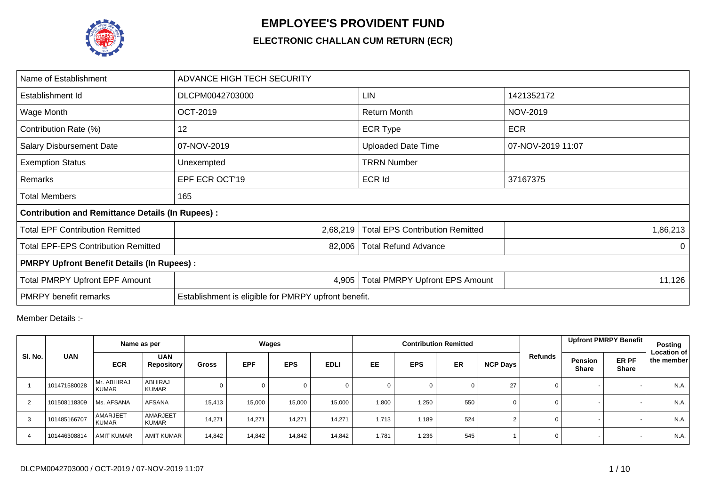

## **EMPLOYEE'S PROVIDENT FUND**

## **ELECTRONIC CHALLAN CUM RETURN (ECR)**

| Name of Establishment                                   | ADVANCE HIGH TECH SECURITY                           |                                        |                   |
|---------------------------------------------------------|------------------------------------------------------|----------------------------------------|-------------------|
| Establishment Id                                        | DLCPM0042703000                                      | LIN                                    | 1421352172        |
| Wage Month                                              | <b>OCT-2019</b>                                      | Return Month                           | NOV-2019          |
| Contribution Rate (%)                                   | 12                                                   | <b>ECR Type</b>                        | <b>ECR</b>        |
| <b>Salary Disbursement Date</b>                         | 07-NOV-2019                                          | <b>Uploaded Date Time</b>              | 07-NOV-2019 11:07 |
| <b>Exemption Status</b>                                 | Unexempted                                           | <b>TRRN Number</b>                     |                   |
| Remarks                                                 | EPF ECR OCT'19                                       | <b>ECR Id</b>                          | 37167375          |
| <b>Total Members</b>                                    | 165                                                  |                                        |                   |
| <b>Contribution and Remittance Details (In Rupees):</b> |                                                      |                                        |                   |
| <b>Total EPF Contribution Remitted</b>                  | 2,68,219                                             | <b>Total EPS Contribution Remitted</b> | 1,86,213          |
| <b>Total EPF-EPS Contribution Remitted</b>              | 82,006                                               | <b>Total Refund Advance</b>            | $\Omega$          |
| <b>PMRPY Upfront Benefit Details (In Rupees):</b>       |                                                      |                                        |                   |
| <b>Total PMRPY Upfront EPF Amount</b>                   | 4,905                                                | <b>Total PMRPY Upfront EPS Amount</b>  | 11,126            |
| <b>PMRPY</b> benefit remarks                            | Establishment is eligible for PMRPY upfront benefit. |                                        |                   |

Member Details :-

|         |              |                             | Name as per                     |              |            | Wages      |             |           |            | <b>Contribution Remitted</b> |                 |         |                         | Upfront PMRPY Benefit | Posting                          |
|---------|--------------|-----------------------------|---------------------------------|--------------|------------|------------|-------------|-----------|------------|------------------------------|-----------------|---------|-------------------------|-----------------------|----------------------------------|
| SI. No. | <b>UAN</b>   | <b>ECR</b>                  | <b>UAN</b><br><b>Repository</b> | <b>Gross</b> | <b>EPF</b> | <b>EPS</b> | <b>EDLI</b> | <b>EE</b> | <b>EPS</b> | <b>ER</b>                    | <b>NCP Days</b> | Refunds | <b>Pension</b><br>Share | ER PF<br><b>Share</b> | <b>Location of</b><br>the member |
|         | 101471580028 | Mr. ABHIRAJ<br><b>KUMAR</b> | ABHIRAJ<br>KUMAR                |              |            |            |             |           |            |                              | 27              |         |                         |                       | N.A.                             |
| 2       | 101508118309 | Ms. AFSANA                  | <b>AFSANA</b>                   | 15,413       | 15,000     | 15,000     | 15,000      | 1,800     | 1,250      | 550                          |                 |         |                         |                       | N.A.                             |
| 3       | 101485166707 | AMARJEET<br><b>KUMAR</b>    | AMARJEET<br><b>KUMAR</b>        | 14,271       | 14,271     | 14.271     | 14,271      | 1,713     | 1,189      | 524                          |                 |         |                         |                       | N.A.                             |
| 4       | 101446308814 | <b>AMIT KUMAR</b>           | <b>AMIT KUMAR</b>               | 14,842       | 14,842     | 14,842     | 14,842      | 1,781     | 1,236      | 545                          |                 |         |                         |                       | N.A.                             |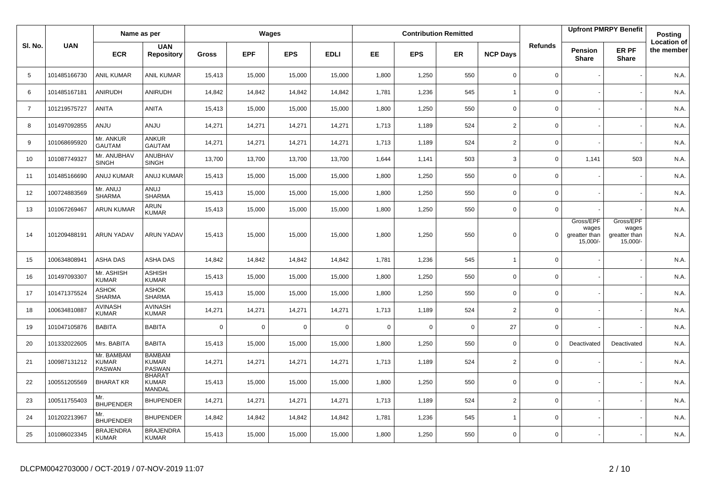|                |              | Name as per                                 |                                                |              |             | Wages      |             |             |             | <b>Contribution Remitted</b> |                 |                |                                                 | <b>Upfront PMRPY Benefit</b>                    | Posting                          |
|----------------|--------------|---------------------------------------------|------------------------------------------------|--------------|-------------|------------|-------------|-------------|-------------|------------------------------|-----------------|----------------|-------------------------------------------------|-------------------------------------------------|----------------------------------|
| SI. No.        | <b>UAN</b>   | <b>ECR</b>                                  | <b>UAN</b><br><b>Repository</b>                | <b>Gross</b> | <b>EPF</b>  | <b>EPS</b> | <b>EDLI</b> | EE          | <b>EPS</b>  | <b>ER</b>                    | <b>NCP Days</b> | <b>Refunds</b> | Pension<br><b>Share</b>                         | ER PF<br><b>Share</b>                           | <b>Location of</b><br>the member |
| 5              | 101485166730 | <b>ANIL KUMAR</b>                           | ANIL KUMAR                                     | 15,413       | 15,000      | 15,000     | 15,000      | 1,800       | 1,250       | 550                          | $\Omega$        | 0              |                                                 |                                                 | N.A.                             |
| 6              | 101485167181 | ANIRUDH                                     | ANIRUDH                                        | 14,842       | 14,842      | 14,842     | 14,842      | 1,781       | 1,236       | 545                          | $\overline{1}$  | 0              |                                                 |                                                 | N.A.                             |
| $\overline{7}$ | 101219575727 | ANITA                                       | <b>ANITA</b>                                   | 15,413       | 15,000      | 15,000     | 15,000      | 1,800       | 1,250       | 550                          | $\mathbf 0$     | $\mathbf 0$    |                                                 |                                                 | N.A.                             |
| 8              | 101497092855 | <b>ANJU</b>                                 | ULIAA                                          | 14,271       | 14,271      | 14,271     | 14,271      | 1,713       | 1,189       | 524                          | $\overline{2}$  | 0              |                                                 |                                                 | N.A.                             |
| 9              | 101068695920 | Mr. ANKUR<br><b>GAUTAM</b>                  | ANKUR<br><b>GAUTAM</b>                         | 14,271       | 14,271      | 14,271     | 14,271      | 1,713       | 1,189       | 524                          | $\overline{2}$  | $\mathbf 0$    |                                                 |                                                 | N.A.                             |
| 10             | 101087749327 | Mr. ANUBHAV<br><b>SINGH</b>                 | <b>ANUBHAV</b><br><b>SINGH</b>                 | 13,700       | 13,700      | 13,700     | 13,700      | 1,644       | 1,141       | 503                          | 3               | 0              | 1,141                                           | 503                                             | N.A.                             |
| 11             | 101485166690 | <b>ANUJ KUMAR</b>                           | ANUJ KUMAR                                     | 15,413       | 15,000      | 15,000     | 15,000      | 1,800       | 1,250       | 550                          | $\mathbf 0$     | 0              |                                                 |                                                 | N.A.                             |
| 12             | 100724883569 | Mr. ANUJ<br><b>SHARMA</b>                   | LUIA<br><b>SHARMA</b>                          | 15,413       | 15,000      | 15,000     | 15,000      | 1,800       | 1,250       | 550                          | $\mathbf 0$     | 0              |                                                 |                                                 | N.A.                             |
| 13             | 101067269467 | <b>ARUN KUMAR</b>                           | ARUN<br><b>KUMAR</b>                           | 15,413       | 15,000      | 15,000     | 15,000      | 1,800       | 1,250       | 550                          | $\mathbf 0$     | 0              |                                                 |                                                 | N.A.                             |
| 14             | 101209488191 | <b>ARUN YADAV</b>                           | <b>ARUN YADAV</b>                              | 15,413       | 15,000      | 15,000     | 15,000      | 1,800       | 1,250       | 550                          | $\Omega$        | $\mathbf 0$    | Gross/EPF<br>wages<br>greatter than<br>15,000/- | Gross/EPF<br>wages<br>greatter than<br>15,000/- | N.A.                             |
| 15             | 100634808941 | ASHA DAS                                    | ASHA DAS                                       | 14,842       | 14,842      | 14,842     | 14,842      | 1,781       | 1,236       | 545                          | $\overline{1}$  | 0              |                                                 |                                                 | N.A.                             |
| 16             | 101497093307 | Mr. ASHISH<br><b>KUMAR</b>                  | ASHISH<br><b>KUMAR</b>                         | 15,413       | 15,000      | 15,000     | 15,000      | 1,800       | 1,250       | 550                          | $\mathbf 0$     | 0              |                                                 |                                                 | N.A.                             |
| 17             | 101471375524 | <b>ASHOK</b><br><b>SHARMA</b>               | ASHOK<br><b>SHARMA</b>                         | 15,413       | 15,000      | 15,000     | 15,000      | 1,800       | 1,250       | 550                          | $\mathbf 0$     | 0              |                                                 |                                                 | N.A.                             |
| 18             | 100634810887 | <b>AVINASH</b><br><b>KUMAR</b>              | <b>AVINASH</b><br><b>KUMAR</b>                 | 14,271       | 14,271      | 14,271     | 14,271      | 1,713       | 1,189       | 524                          | $\overline{2}$  | 0              |                                                 |                                                 | N.A.                             |
| 19             | 101047105876 | <b>BABITA</b>                               | <b>BABITA</b>                                  | $\mathbf 0$  | $\mathbf 0$ | 0          | $\mathbf 0$ | $\mathbf 0$ | $\mathbf 0$ | $\mathbf 0$                  | 27              | 0              |                                                 |                                                 | N.A.                             |
| 20             | 101332022605 | Mrs. BABITA                                 | <b>BABITA</b>                                  | 15,413       | 15,000      | 15,000     | 15,000      | 1,800       | 1,250       | 550                          | $\mathbf 0$     | $\mathbf 0$    | Deactivated                                     | Deactivated                                     | N.A.                             |
| 21             | 100987131212 | Mr. BAMBAM<br><b>KUMAR</b><br><b>PASWAN</b> | <b>BAMBAM</b><br><b>KUMAR</b><br><b>PASWAN</b> | 14,271       | 14,271      | 14,271     | 14,271      | 1,713       | 1,189       | 524                          | $\overline{2}$  | $\Omega$       |                                                 |                                                 | N.A.                             |
| 22             | 100551205569 | <b>BHARAT KR</b>                            | <b>BHARAT</b><br><b>KUMAR</b><br>MANDAL        | 15,413       | 15,000      | 15,000     | 15,000      | 1,800       | 1,250       | 550                          | $\mathbf 0$     | 0              |                                                 |                                                 | N.A.                             |
| 23             | 100511755403 | Mr.<br><b>BHUPENDER</b>                     | <b>BHUPENDER</b>                               | 14,271       | 14,271      | 14,271     | 14,271      | 1,713       | 1,189       | 524                          | $\overline{2}$  | 0              |                                                 |                                                 | N.A.                             |
| 24             | 101202213967 | Mr.<br><b>BHUPENDER</b>                     | <b>BHUPENDER</b>                               | 14,842       | 14,842      | 14,842     | 14,842      | 1,781       | 1,236       | 545                          | $\overline{1}$  | 0              |                                                 |                                                 | N.A.                             |
| 25             | 101086023345 | <b>BRAJENDRA</b><br><b>KUMAR</b>            | <b>BRAJENDRA</b><br><b>KUMAR</b>               | 15,413       | 15,000      | 15,000     | 15,000      | 1,800       | 1,250       | 550                          | $\Omega$        | 0              |                                                 |                                                 | N.A.                             |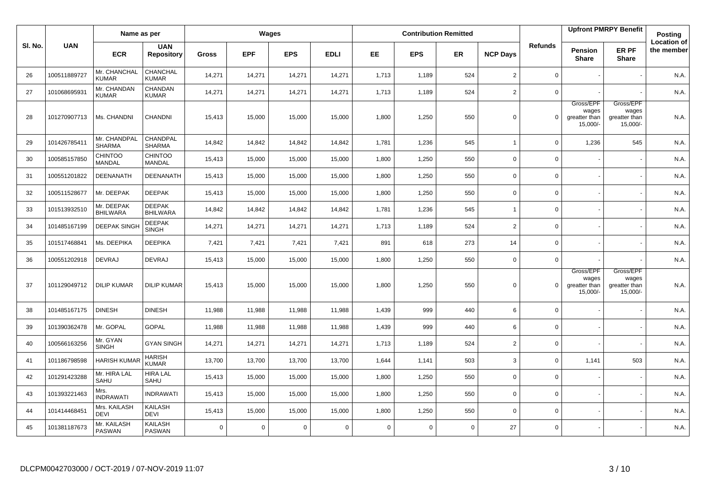|         |              | Name as per                   |                                  |              |            | Wages       |             |          |             | <b>Contribution Remitted</b> |                 |                |                                                 | <b>Upfront PMRPY Benefit</b>                      | Posting                          |
|---------|--------------|-------------------------------|----------------------------------|--------------|------------|-------------|-------------|----------|-------------|------------------------------|-----------------|----------------|-------------------------------------------------|---------------------------------------------------|----------------------------------|
| SI. No. | <b>UAN</b>   | <b>ECR</b>                    | <b>UAN</b><br><b>Repository</b>  | <b>Gross</b> | <b>EPF</b> | <b>EPS</b>  | <b>EDLI</b> | EE       | <b>EPS</b>  | ER                           | <b>NCP Days</b> | <b>Refunds</b> | <b>Pension</b><br><b>Share</b>                  | ER PF<br><b>Share</b>                             | <b>Location of</b><br>the member |
| 26      | 100511889727 | Mr. CHANCHAL<br><b>KUMAR</b>  | CHANCHAL<br><b>KUMAR</b>         | 14,271       | 14,271     | 14,271      | 14,271      | 1,713    | 1,189       | 524                          | $\overline{2}$  | 0              |                                                 |                                                   | N.A.                             |
| 27      | 101068695931 | Mr. CHANDAN<br>KUMAR          | CHANDAN<br><b>KUMAR</b>          | 14,271       | 14,271     | 14,271      | 14,271      | 1,713    | 1,189       | 524                          | $\overline{2}$  | 0              |                                                 |                                                   | N.A.                             |
| 28      | 101270907713 | Ms. CHANDNI                   | <b>CHANDNI</b>                   | 15,413       | 15,000     | 15,000      | 15,000      | 1,800    | 1,250       | 550                          | $\Omega$        | $\Omega$       | Gross/EPF<br>wages<br>greatter than<br>15,000/- | Gross/EPF<br>wages<br>greatter than<br>$15,000/-$ | N.A.                             |
| 29      | 101426785411 | Mr. CHANDPAL<br><b>SHARMA</b> | CHANDPAL<br><b>SHARMA</b>        | 14,842       | 14,842     | 14,842      | 14,842      | 1,781    | 1,236       | 545                          | $\mathbf{1}$    | 0              | 1,236                                           | 545                                               | N.A.                             |
| 30      | 100585157850 | <b>CHINTOO</b><br>MANDAL      | <b>CHINTOO</b><br>MANDAL         | 15,413       | 15,000     | 15,000      | 15,000      | 1,800    | 1,250       | 550                          | $\mathbf 0$     | 0              |                                                 |                                                   | N.A.                             |
| 31      | 100551201822 | DEENANATH                     | <b>DEENANATH</b>                 | 15,413       | 15,000     | 15,000      | 15,000      | 1,800    | 1,250       | 550                          | $\mathbf 0$     | 0              |                                                 |                                                   | N.A.                             |
| 32      | 100511528677 | Mr. DEEPAK                    | <b>DEEPAK</b>                    | 15,413       | 15,000     | 15,000      | 15,000      | 1,800    | 1,250       | 550                          | 0               | 0              |                                                 |                                                   | N.A.                             |
| 33      | 101513932510 | Mr. DEEPAK<br><b>BHILWARA</b> | <b>DEEPAK</b><br><b>BHILWARA</b> | 14,842       | 14,842     | 14,842      | 14,842      | 1,781    | 1,236       | 545                          | $\overline{1}$  | $\mathbf 0$    |                                                 |                                                   | N.A.                             |
| 34      | 101485167199 | <b>DEEPAK SINGH</b>           | <b>DEEPAK</b><br>SINGH           | 14,271       | 14,271     | 14,271      | 14,271      | 1,713    | 1,189       | 524                          | 2               | $\mathbf 0$    |                                                 |                                                   | N.A.                             |
| 35      | 101517468841 | Ms. DEEPIKA                   | <b>DEEPIKA</b>                   | 7,421        | 7,421      | 7,421       | 7,421       | 891      | 618         | 273                          | 14              | 0              |                                                 |                                                   | N.A.                             |
| 36      | 100551202918 | <b>DEVRAJ</b>                 | <b>DEVRAJ</b>                    | 15,413       | 15,000     | 15,000      | 15,000      | 1,800    | 1,250       | 550                          | $\mathbf 0$     | $\mathbf 0$    |                                                 |                                                   | N.A.                             |
| 37      | 101129049712 | <b>DILIP KUMAR</b>            | <b>DILIP KUMAR</b>               | 15,413       | 15,000     | 15,000      | 15,000      | 1,800    | 1,250       | 550                          | $\Omega$        | $\Omega$       | Gross/EPF<br>wages<br>greatter than<br>15,000/- | Gross/EPF<br>wages<br>greatter than<br>15,000/-   | N.A.                             |
| 38      | 101485167175 | <b>DINESH</b>                 | <b>DINESH</b>                    | 11,988       | 11,988     | 11,988      | 11,988      | 1,439    | 999         | 440                          | 6               | 0              |                                                 |                                                   | N.A.                             |
| 39      | 101390362478 | Mr. GOPAL                     | <b>GOPAL</b>                     | 11,988       | 11,988     | 11,988      | 11,988      | 1,439    | 999         | 440                          | 6               | 0              |                                                 |                                                   | N.A.                             |
| 40      | 100566163256 | Mr. GYAN<br><b>SINGH</b>      | <b>GYAN SINGH</b>                | 14,271       | 14,271     | 14,271      | 14,271      | 1,713    | 1,189       | 524                          | $\overline{2}$  | 0              |                                                 |                                                   | N.A.                             |
| 41      | 101186798598 | <b>HARISH KUMAR</b>           | <b>HARISH</b><br><b>KUMAR</b>    | 13,700       | 13,700     | 13,700      | 13,700      | 1,644    | 1,141       | 503                          | 3               | 0              | 1,141                                           | 503                                               | N.A.                             |
| 42      | 101291423288 | Mr. HIRA LAL<br>SAHU          | <b>HIRA LAL</b><br>SAHU          | 15,413       | 15,000     | 15,000      | 15,000      | 1,800    | 1,250       | 550                          | $\mathbf 0$     | 0              |                                                 |                                                   | N.A.                             |
| 43      | 101393221463 | Mrs.<br><b>INDRAWATI</b>      | <b>INDRAWATI</b>                 | 15,413       | 15,000     | 15,000      | 15,000      | 1,800    | 1,250       | 550                          | $\mathbf 0$     | 0              |                                                 |                                                   | N.A.                             |
| 44      | 101414468451 | Mrs. KAILASH<br>DEVI          | KAILASH<br><b>DEVI</b>           | 15,413       | 15,000     | 15,000      | 15,000      | 1,800    | 1,250       | 550                          | $\mathbf 0$     | 0              |                                                 |                                                   | N.A.                             |
| 45      | 101381187673 | Mr. KAILASH<br>PASWAN         | KAILASH<br>PASWAN                | $\mathbf 0$  | $\Omega$   | $\mathbf 0$ | $\mathbf 0$ | $\Omega$ | $\mathbf 0$ | $\mathbf 0$                  | 27              | 0              |                                                 |                                                   | N.A.                             |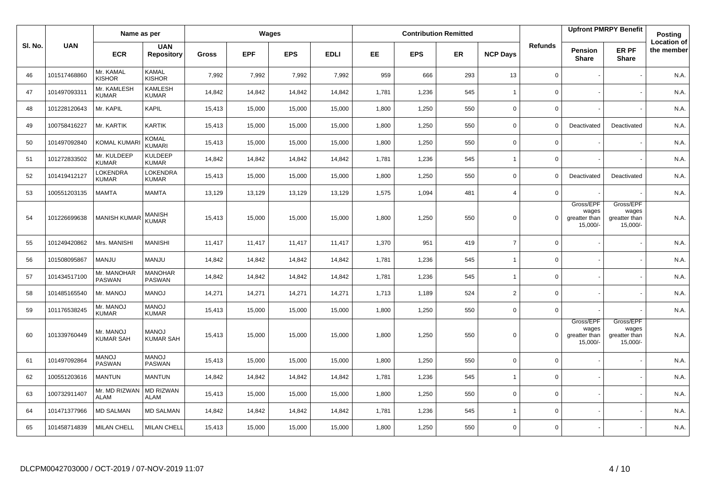|         |              | Name as per                   |                                  |              | Wages      |            |             |           |            | <b>Contribution Remitted</b> |                 |                     |                                                 | <b>Upfront PMRPY Benefit</b>                      | Posting                          |
|---------|--------------|-------------------------------|----------------------------------|--------------|------------|------------|-------------|-----------|------------|------------------------------|-----------------|---------------------|-------------------------------------------------|---------------------------------------------------|----------------------------------|
| SI. No. | <b>UAN</b>   | <b>ECR</b>                    | <b>UAN</b><br><b>Repository</b>  | <b>Gross</b> | <b>EPF</b> | <b>EPS</b> | <b>EDLI</b> | <b>EE</b> | <b>EPS</b> | <b>ER</b>                    | <b>NCP Days</b> | <b>Refunds</b>      | <b>Pension</b><br><b>Share</b>                  | ER PF<br><b>Share</b>                             | <b>Location of</b><br>the member |
| 46      | 101517468860 | Mr. KAMAL<br><b>KISHOR</b>    | <b>KAMAL</b><br><b>KISHOR</b>    | 7,992        | 7,992      | 7,992      | 7,992       | 959       | 666        | 293                          | 13              | $\mathsf 0$         |                                                 |                                                   | N.A.                             |
| 47      | 101497093311 | Mr. KAMLESH<br><b>KUMAR</b>   | <b>KAMLESH</b><br><b>KUMAR</b>   | 14,842       | 14,842     | 14,842     | 14,842      | 1,781     | 1,236      | 545                          | $\mathbf{1}$    | $\mathbf 0$         |                                                 |                                                   | N.A.                             |
| 48      | 101228120643 | Mr. KAPIL                     | <b>KAPIL</b>                     | 15,413       | 15,000     | 15,000     | 15,000      | 1,800     | 1,250      | 550                          | $\mathbf 0$     | $\mathbf 0$         |                                                 |                                                   | N.A.                             |
| 49      | 100758416227 | Mr. KARTIK                    | <b>KARTIK</b>                    | 15,413       | 15,000     | 15,000     | 15,000      | 1,800     | 1,250      | 550                          | $\mathbf 0$     | $\mathbf 0$         | Deactivated                                     | Deactivated                                       | N.A.                             |
| 50      | 101497092840 | <b>KOMAL KUMAR</b>            | KOMAL<br><b>KUMARI</b>           | 15,413       | 15,000     | 15,000     | 15,000      | 1,800     | 1,250      | 550                          | $\mathbf 0$     | $\mathsf 0$         |                                                 |                                                   | N.A.                             |
| 51      | 101272833502 | Mr. KULDEEP<br><b>KUMAR</b>   | <b>KULDEEP</b><br><b>KUMAR</b>   | 14,842       | 14,842     | 14,842     | 14,842      | 1,781     | 1,236      | 545                          | $\overline{1}$  | $\mathsf 0$         |                                                 |                                                   | N.A.                             |
| 52      | 101419412127 | LOKENDRA<br><b>KUMAR</b>      | LOKENDRA<br><b>KUMAR</b>         | 15,413       | 15,000     | 15,000     | 15,000      | 1,800     | 1,250      | 550                          | $\mathbf 0$     | $\mathbf 0$         | Deactivated                                     | Deactivated                                       | N.A.                             |
| 53      | 100551203135 | <b>MAMTA</b>                  | <b>MAMTA</b>                     | 13,129       | 13,129     | 13,129     | 13,129      | 1,575     | 1,094      | 481                          | $\overline{4}$  | $\mathbf 0$         |                                                 |                                                   | N.A.                             |
| 54      | 101226699638 | <b>MANISH KUMAR</b>           | MANISH<br><b>KUMAR</b>           | 15,413       | 15,000     | 15,000     | 15,000      | 1,800     | 1,250      | 550                          | $\mathbf 0$     | $\Omega$            | Gross/EPF<br>wages<br>greatter than<br>15,000/- | Gross/EPF<br>wages<br>greatter than<br>$15,000/-$ | N.A.                             |
| 55      | 101249420862 | Mrs. MANISHI                  | <b>MANISHI</b>                   | 11,417       | 11,417     | 11,417     | 11,417      | 1,370     | 951        | 419                          | $\overline{7}$  | $\mathbf 0$         |                                                 |                                                   | N.A.                             |
| 56      | 101508095867 | <b>MANJU</b>                  | <b>MANJU</b>                     | 14,842       | 14,842     | 14,842     | 14,842      | 1,781     | 1,236      | 545                          | $\mathbf{1}$    | $\mathbf 0$         |                                                 |                                                   | N.A.                             |
| 57      | 101434517100 | Mr. MANOHAR<br><b>PASWAN</b>  | <b>MANOHAR</b><br><b>PASWAN</b>  | 14,842       | 14,842     | 14,842     | 14,842      | 1,781     | 1,236      | 545                          | $\mathbf{1}$    | $\mathbf 0$         |                                                 |                                                   | N.A.                             |
| 58      | 101485165540 | Mr. MANOJ                     | MANOJ                            | 14,271       | 14,271     | 14,271     | 14,271      | 1,713     | 1,189      | 524                          | $\overline{2}$  | $\mathbf 0$         |                                                 |                                                   | N.A.                             |
| 59      | 101176538245 | Mr. MANOJ<br><b>KUMAR</b>     | <b>MANOJ</b><br><b>KUMAR</b>     | 15,413       | 15,000     | 15,000     | 15,000      | 1,800     | 1,250      | 550                          | $\mathsf 0$     | $\mathsf 0$         |                                                 |                                                   | N.A.                             |
| 60      | 101339760449 | Mr. MANOJ<br><b>KUMAR SAH</b> | <b>LONAM</b><br><b>KUMAR SAH</b> | 15,413       | 15,000     | 15,000     | 15,000      | 1,800     | 1,250      | 550                          | $\Omega$        | $\Omega$            | Gross/EPF<br>wages<br>greatter than<br>15,000/- | Gross/EPF<br>wages<br>greatter than<br>15,000/-   | N.A.                             |
| 61      | 101497092864 | <b>MANOJ</b><br>PASWAN        | <b>MANOJ</b><br><b>PASWAN</b>    | 15,413       | 15,000     | 15,000     | 15,000      | 1,800     | 1,250      | 550                          | $\mathbf 0$     | $\mathsf 0$         |                                                 |                                                   | N.A.                             |
| 62      | 100551203616 | <b>MANTUN</b>                 | <b>MANTUN</b>                    | 14,842       | 14,842     | 14,842     | 14,842      | 1,781     | 1,236      | 545                          | $\overline{1}$  | $\mathsf{O}\xspace$ |                                                 |                                                   | N.A.                             |
| 63      | 100732911407 | Mr. MD RIZWAN<br><b>ALAM</b>  | <b>MD RIZWAN</b><br><b>ALAM</b>  | 15,413       | 15,000     | 15,000     | 15,000      | 1,800     | 1,250      | 550                          | $\mathbf 0$     | $\mathbf 0$         |                                                 |                                                   | N.A.                             |
| 64      | 101471377966 | <b>MD SALMAN</b>              | <b>MD SALMAN</b>                 | 14,842       | 14,842     | 14,842     | 14,842      | 1,781     | 1,236      | 545                          | $\overline{1}$  | $\mathbf 0$         |                                                 |                                                   | N.A.                             |
| 65      | 101458714839 | <b>MILAN CHELL</b>            | <b>MILAN CHELL</b>               | 15,413       | 15,000     | 15,000     | 15,000      | 1,800     | 1,250      | 550                          | $\mathbf 0$     | $\mathbf 0$         |                                                 |                                                   | N.A.                             |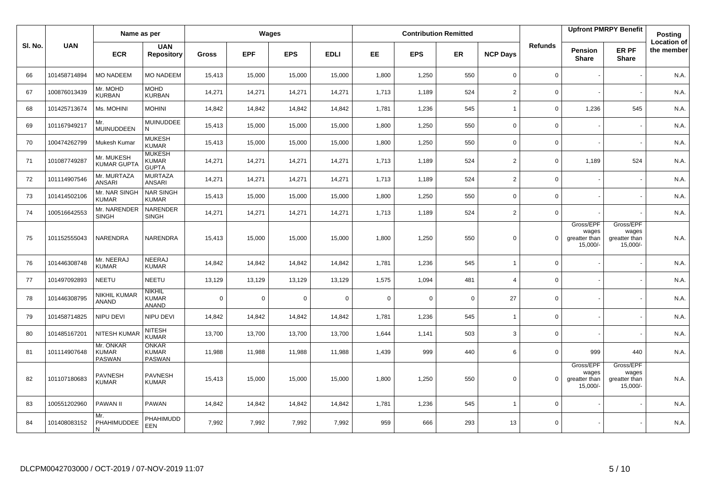|         |              | Name as per                         |                                               |             |            | Wages       |             |          |            | <b>Contribution Remitted</b> |                 |                |                                                 | <b>Upfront PMRPY Benefit</b>                    | <b>Posting</b>                   |
|---------|--------------|-------------------------------------|-----------------------------------------------|-------------|------------|-------------|-------------|----------|------------|------------------------------|-----------------|----------------|-------------------------------------------------|-------------------------------------------------|----------------------------------|
| SI. No. | <b>UAN</b>   | <b>ECR</b>                          | <b>UAN</b><br><b>Repository</b>               | Gross       | <b>EPF</b> | <b>EPS</b>  | <b>EDLI</b> | EE.      | <b>EPS</b> | <b>ER</b>                    | <b>NCP Days</b> | <b>Refunds</b> | Pension<br><b>Share</b>                         | ER PF<br><b>Share</b>                           | <b>Location of</b><br>the member |
| 66      | 101458714894 | <b>MO NADEEM</b>                    | <b>MO NADEEM</b>                              | 15,413      | 15,000     | 15,000      | 15,000      | 1,800    | 1,250      | 550                          | $\mathbf 0$     | $\mathbf 0$    |                                                 |                                                 | N.A.                             |
| 67      | 100876013439 | Mr. MOHD<br>KURBAN                  | <b>MOHD</b><br><b>KURBAN</b>                  | 14,271      | 14,271     | 14,271      | 14,271      | 1,713    | 1,189      | 524                          | $\overline{2}$  | 0              |                                                 |                                                 | N.A.                             |
| 68      | 101425713674 | Ms. MOHINI                          | <b>MOHINI</b>                                 | 14,842      | 14,842     | 14,842      | 14,842      | 1,781    | 1,236      | 545                          | $\overline{1}$  | 0              | 1,236                                           | 545                                             | N.A.                             |
| 69      | 101167949217 | Mr.<br>MUINUDDEEN                   | <b>MUINUDDEE</b><br>N                         | 15,413      | 15,000     | 15,000      | 15,000      | 1,800    | 1,250      | 550                          | $\mathbf 0$     | 0              |                                                 |                                                 | N.A.                             |
| 70      | 100474262799 | Mukesh Kumar                        | <b>MUKESH</b><br><b>KUMAR</b>                 | 15,413      | 15,000     | 15,000      | 15,000      | 1,800    | 1,250      | 550                          | $\mathbf 0$     | 0              |                                                 |                                                 | N.A.                             |
| 71      | 101087749287 | Mr. MUKESH<br><b>KUMAR GUPTA</b>    | <b>MUKESH</b><br><b>KUMAR</b><br><b>GUPTA</b> | 14,271      | 14,271     | 14,271      | 14,271      | 1,713    | 1,189      | 524                          | 2               | 0              | 1,189                                           | 524                                             | N.A.                             |
| 72      | 101114907546 | Mr. MURTAZA<br><b>ANSARI</b>        | <b>MURTAZA</b><br><b>ANSARI</b>               | 14,271      | 14,271     | 14,271      | 14,271      | 1,713    | 1,189      | 524                          | $\overline{2}$  | $\mathsf{O}$   |                                                 |                                                 | N.A.                             |
| 73      | 101414502106 | Mr. NAR SINGH<br><b>KUMAR</b>       | <b>NAR SINGH</b><br><b>KUMAR</b>              | 15,413      | 15,000     | 15,000      | 15,000      | 1,800    | 1,250      | 550                          | $\mathbf 0$     | $\mathsf{O}$   |                                                 |                                                 | N.A.                             |
| 74      | 100516642553 | Mr. NARENDER<br><b>SINGH</b>        | NARENDER<br><b>SINGH</b>                      | 14,271      | 14,271     | 14,271      | 14,271      | 1,713    | 1,189      | 524                          | $\overline{2}$  | $\mathbf 0$    |                                                 |                                                 | N.A.                             |
| 75      | 101152555043 | NARENDRA                            | <b>NARENDRA</b>                               | 15,413      | 15,000     | 15,000      | 15,000      | 1,800    | 1,250      | 550                          | $\Omega$        | $\Omega$       | Gross/EPF<br>wages<br>greatter than<br>15,000/- | Gross/EPF<br>wages<br>greatter than<br>15,000/- | N.A.                             |
| 76      | 101446308748 | Mr. NEERAJ<br><b>KUMAR</b>          | NEERAJ<br><b>KUMAR</b>                        | 14,842      | 14,842     | 14,842      | 14,842      | 1,781    | 1,236      | 545                          | $\overline{1}$  | 0              |                                                 |                                                 | N.A.                             |
| 77      | 101497092893 | <b>NEETU</b>                        | <b>NEETU</b>                                  | 13,129      | 13,129     | 13,129      | 13,129      | 1,575    | 1,094      | 481                          | $\overline{4}$  | 0              |                                                 |                                                 | N.A.                             |
| 78      | 101446308795 | NIKHIL KUMAR<br><b>ANAND</b>        | <b>NIKHIL</b><br><b>KUMAR</b><br>ANAND        | $\mathbf 0$ | $\Omega$   | $\mathbf 0$ | $\mathbf 0$ | $\Omega$ | $\Omega$   | $\mathbf 0$                  | 27              | $\mathbf{0}$   |                                                 |                                                 | N.A.                             |
| 79      | 101458714825 | NIPU DEVI                           | NIPU DEVI                                     | 14,842      | 14,842     | 14,842      | 14,842      | 1,781    | 1,236      | 545                          | $\overline{1}$  | 0              |                                                 |                                                 | N.A.                             |
| 80      | 101485167201 | NITESH KUMA                         | <b>NITESH</b><br><b>KUMAR</b>                 | 13,700      | 13,700     | 13,700      | 13,700      | 1,644    | 1,141      | 503                          | 3               | 0              |                                                 |                                                 | N.A.                             |
| 81      | 101114907648 | Mr. ONKAR<br><b>KUMAR</b><br>PASWAN | <b>ONKAR</b><br><b>KUMAR</b><br><b>PASWAN</b> | 11,988      | 11,988     | 11,988      | 11,988      | 1,439    | 999        | 440                          | 6               | $\mathbf 0$    | 999                                             | 440                                             | N.A.                             |
| 82      | 101107180683 | <b>PAVNESH</b><br>KUMAR             | <b>PAVNESH</b><br><b>KUMAR</b>                | 15,413      | 15,000     | 15,000      | 15,000      | 1,800    | 1,250      | 550                          | $\mathbf 0$     | $\Omega$       | Gross/EPF<br>wages<br>greatter than<br>15,000/- | Gross/EPF<br>wages<br>greatter than<br>15,000/- | N.A.                             |
| 83      | 100551202960 | PAWAN II                            | <b>PAWAN</b>                                  | 14,842      | 14,842     | 14,842      | 14,842      | 1,781    | 1,236      | 545                          | $\overline{1}$  | 0              |                                                 |                                                 | N.A.                             |
| 84      | 101408083152 | Mr.<br>PHAHIMUDDEE<br>N             | PHAHIMUDD<br><b>EEN</b>                       | 7,992       | 7,992      | 7,992       | 7,992       | 959      | 666        | 293                          | 13              | 0              |                                                 |                                                 | N.A.                             |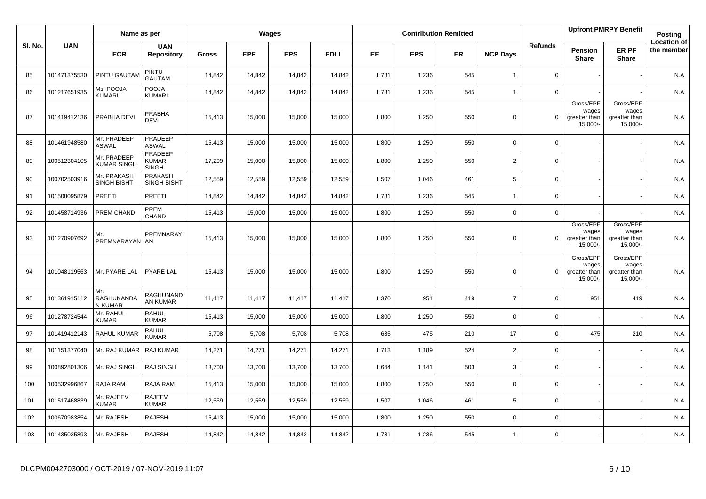|         |              | Name as per                       |                                                |              |            | Wages      |             |           |            | <b>Contribution Remitted</b> |                 |                |                                                 | <b>Upfront PMRPY Benefit</b>                    | <b>Posting</b>                   |
|---------|--------------|-----------------------------------|------------------------------------------------|--------------|------------|------------|-------------|-----------|------------|------------------------------|-----------------|----------------|-------------------------------------------------|-------------------------------------------------|----------------------------------|
| SI. No. | <b>UAN</b>   | <b>ECR</b>                        | <b>UAN</b><br><b>Repository</b>                | <b>Gross</b> | <b>EPF</b> | <b>EPS</b> | <b>EDLI</b> | <b>EE</b> | <b>EPS</b> | <b>ER</b>                    | <b>NCP Days</b> | <b>Refunds</b> | <b>Pension</b><br><b>Share</b>                  | ER PF<br><b>Share</b>                           | <b>Location of</b><br>the member |
| 85      | 101471375530 | PINTU GAUTAN                      | PINTU<br><b>GAUTAM</b>                         | 14,842       | 14,842     | 14,842     | 14,842      | 1,781     | 1,236      | 545                          | $\overline{1}$  | $\mathbf{0}$   |                                                 |                                                 | N.A.                             |
| 86      | 101217651935 | Ms. POOJA<br>KUMARI               | POOJA<br><b>KUMARI</b>                         | 14,842       | 14,842     | 14,842     | 14,842      | 1,781     | 1,236      | 545                          | $\overline{1}$  | $\mathbf 0$    |                                                 |                                                 | N.A.                             |
| 87      | 101419412136 | PRABHA DEVI                       | PRABHA<br><b>DEVI</b>                          | 15,413       | 15,000     | 15,000     | 15,000      | 1,800     | 1,250      | 550                          | $\Omega$        | $\mathbf 0$    | Gross/EPF<br>wages<br>greatter than<br>15,000/- | Gross/EPF<br>wages<br>greatter than<br>15,000/- | N.A.                             |
| 88      | 101461948580 | Mr. PRADEEP<br><b>ASWAL</b>       | PRADEEP<br>ASWAL                               | 15,413       | 15,000     | 15,000     | 15,000      | 1,800     | 1,250      | 550                          | $\mathbf 0$     | $\mathbf 0$    |                                                 |                                                 | N.A.                             |
| 89      | 100512304105 | Mr. PRADEEP<br><b>KUMAR SINGH</b> | <b>PRADEEP</b><br><b>KUMAR</b><br><b>SINGH</b> | 17,299       | 15,000     | 15,000     | 15,000      | 1,800     | 1,250      | 550                          | $\overline{2}$  | 0              |                                                 |                                                 | N.A.                             |
| 90      | 100702503916 | Mr. PRAKASH<br><b>SINGH BISHT</b> | <b>PRAKASH</b><br><b>SINGH BISHT</b>           | 12,559       | 12,559     | 12,559     | 12,559      | 1,507     | 1,046      | 461                          | 5               | 0              |                                                 |                                                 | N.A.                             |
| 91      | 101508095879 | <b>PREETI</b>                     | PREETI                                         | 14,842       | 14,842     | 14,842     | 14,842      | 1,781     | 1,236      | 545                          | $\overline{1}$  | 0              |                                                 |                                                 | N.A.                             |
| 92      | 101458714936 | PREM CHAND                        | PREM<br><b>CHAND</b>                           | 15,413       | 15,000     | 15,000     | 15,000      | 1,800     | 1,250      | 550                          | $\mathsf 0$     | $\mathbf{0}$   |                                                 |                                                 | N.A.                             |
| 93      | 101270907692 | Mr.<br>PREMNARAYAN AN             | PREMNARAY                                      | 15,413       | 15,000     | 15,000     | 15,000      | 1,800     | 1,250      | 550                          | $\Omega$        | $\Omega$       | Gross/EPF<br>wages<br>greatter than<br>15,000/- | Gross/EPF<br>wages<br>greatter than<br>15,000/- | N.A.                             |
| 94      | 101048119563 | Mr. PYARE LAL                     | <b>PYARE LAL</b>                               | 15,413       | 15,000     | 15,000     | 15,000      | 1,800     | 1,250      | 550                          | $\Omega$        | $\Omega$       | Gross/EPF<br>wages<br>greatter than<br>15,000/- | Gross/EPF<br>wages<br>greatter than<br>15,000/- | N.A.                             |
| 95      | 101361915112 | Mr.<br>RAGHUNANDA<br>N KUMAR      | RAGHUNAND<br>AN KUMAR                          | 11,417       | 11,417     | 11,417     | 11,417      | 1,370     | 951        | 419                          | $\overline{7}$  | 0              | 951                                             | 419                                             | N.A.                             |
| 96      | 101278724544 | Mr. RAHUL<br><b>KUMAR</b>         | <b>RAHUL</b><br><b>KUMAR</b>                   | 15,413       | 15,000     | 15,000     | 15,000      | 1,800     | 1,250      | 550                          | $\mathbf 0$     | 0              |                                                 |                                                 | N.A.                             |
| 97      | 101419412143 | RAHUL KUMAR                       | <b>RAHUL</b><br><b>KUMAR</b>                   | 5,708        | 5,708      | 5,708      | 5,708       | 685       | 475        | 210                          | 17              | 0              | 475                                             | 210                                             | N.A.                             |
| 98      | 101151377040 | Mr. RAJ KUMAR                     | RAJ KUMAR                                      | 14,271       | 14,271     | 14,271     | 14,271      | 1,713     | 1,189      | 524                          | 2               | 0              |                                                 |                                                 | N.A.                             |
| 99      | 100892801306 | Mr. RAJ SINGH                     | <b>RAJ SINGH</b>                               | 13,700       | 13,700     | 13,700     | 13,700      | 1,644     | 1,141      | 503                          | 3               | 0              |                                                 |                                                 | N.A.                             |
| 100     | 100532996867 | RAJA RAM                          | RAJA RAM                                       | 15,413       | 15,000     | 15,000     | 15,000      | 1,800     | 1,250      | 550                          | 0               | 0              |                                                 |                                                 | N.A.                             |
| 101     | 101517468839 | Mr. RAJEEV<br><b>KUMAR</b>        | RAJEEV<br><b>KUMAR</b>                         | 12,559       | 12,559     | 12,559     | 12,559      | 1,507     | 1,046      | 461                          | $\overline{5}$  | 0              |                                                 |                                                 | N.A.                             |
| 102     | 100670983854 | Mr. RAJESH                        | RAJESH                                         | 15,413       | 15,000     | 15,000     | 15,000      | 1,800     | 1,250      | 550                          | $\mathbf 0$     | 0              |                                                 |                                                 | N.A.                             |
| 103     | 101435035893 | Mr. RAJESH                        | RAJESH                                         | 14,842       | 14,842     | 14,842     | 14,842      | 1,781     | 1,236      | 545                          | $\overline{1}$  | $\mathbf 0$    |                                                 |                                                 | N.A.                             |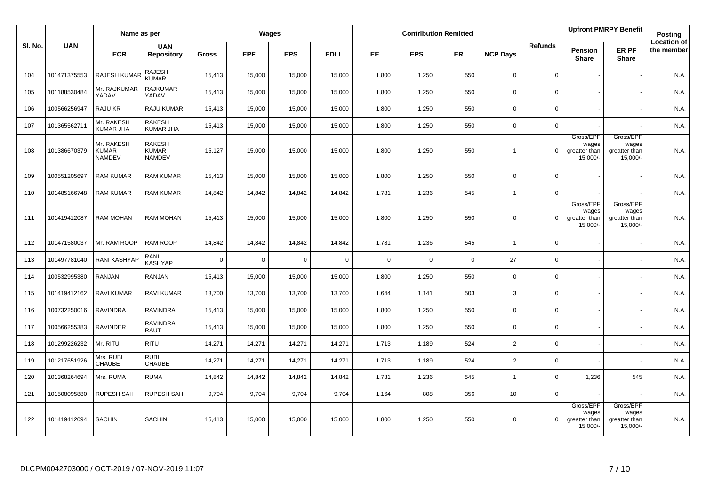|         |              | Name as per                                 |                                                |              |             | Wages       |             |             |             | <b>Contribution Remitted</b> |                 |                |                                                 | <b>Upfront PMRPY Benefit</b>                    | Posting                          |
|---------|--------------|---------------------------------------------|------------------------------------------------|--------------|-------------|-------------|-------------|-------------|-------------|------------------------------|-----------------|----------------|-------------------------------------------------|-------------------------------------------------|----------------------------------|
| SI. No. | <b>UAN</b>   | <b>ECR</b>                                  | <b>UAN</b><br><b>Repository</b>                | <b>Gross</b> | <b>EPF</b>  | <b>EPS</b>  | <b>EDLI</b> | EE.         | <b>EPS</b>  | <b>ER</b>                    | <b>NCP Days</b> | <b>Refunds</b> | Pension<br>Share                                | ER PF<br><b>Share</b>                           | <b>Location of</b><br>the member |
| 104     | 101471375553 | RAJESH KUMA                                 | <b>RAJESH</b><br><b>KUMAR</b>                  | 15,413       | 15,000      | 15,000      | 15,000      | 1,800       | 1,250       | 550                          | $\mathbf 0$     | $\mathsf{O}$   |                                                 |                                                 | N.A.                             |
| 105     | 101188530484 | Mr. RAJKUMAR<br>YADAV                       | <b>RAJKUMAR</b><br>YADAV                       | 15,413       | 15,000      | 15,000      | 15,000      | 1,800       | 1,250       | 550                          | $\mathbf 0$     | $\mathbf 0$    |                                                 |                                                 | N.A.                             |
| 106     | 100566256947 | RAJU KR                                     | RAJU KUMAR                                     | 15,413       | 15,000      | 15,000      | 15,000      | 1,800       | 1,250       | 550                          | $\mathbf 0$     | $\mathbf 0$    |                                                 |                                                 | N.A.                             |
| 107     | 101365562711 | Mr. RAKESH<br><b>KUMAR JHA</b>              | <b>RAKESH</b><br><b>KUMAR JHA</b>              | 15,413       | 15,000      | 15,000      | 15,000      | 1,800       | 1,250       | 550                          | $\mathbf 0$     | $\mathbf 0$    |                                                 |                                                 | N.A.                             |
| 108     | 101386670379 | Mr. RAKESH<br><b>KUMAR</b><br><b>NAMDEV</b> | <b>RAKESH</b><br><b>KUMAR</b><br><b>NAMDEV</b> | 15,127       | 15,000      | 15,000      | 15,000      | 1,800       | 1,250       | 550                          | $\mathbf{1}$    | $\Omega$       | Gross/EPF<br>wages<br>greatter than<br>15,000/- | Gross/EPF<br>wages<br>greatter than<br>15,000/- | N.A.                             |
| 109     | 100551205697 | <b>RAM KUMAR</b>                            | <b>RAM KUMAR</b>                               | 15,413       | 15,000      | 15,000      | 15,000      | 1,800       | 1,250       | 550                          | $\mathbf 0$     | $\mathbf 0$    |                                                 |                                                 | N.A.                             |
| 110     | 101485166748 | RAM KUMAR                                   | <b>RAM KUMAR</b>                               | 14,842       | 14,842      | 14,842      | 14,842      | 1,781       | 1,236       | 545                          | $\mathbf{1}$    | $\mathsf 0$    |                                                 |                                                 | N.A.                             |
| 111     | 101419412087 | <b>RAM MOHAN</b>                            | <b>RAM MOHAN</b>                               | 15,413       | 15,000      | 15,000      | 15,000      | 1,800       | 1,250       | 550                          | $\mathbf 0$     | $\Omega$       | Gross/EPF<br>wages<br>greatter than<br>15,000/- | Gross/EPF<br>wages<br>greatter than<br>15,000/- | N.A.                             |
| 112     | 101471580037 | Mr. RAM ROOP                                | <b>RAM ROOP</b>                                | 14,842       | 14,842      | 14,842      | 14,842      | 1,781       | 1,236       | 545                          | $\mathbf{1}$    | $\mathbf 0$    |                                                 |                                                 | N.A.                             |
| 113     | 101497781040 | <b>RANI KASHYAP</b>                         | RANI<br><b>KASHYAP</b>                         | $\mathbf 0$  | $\mathbf 0$ | $\mathbf 0$ | $\mathbf 0$ | $\mathbf 0$ | $\mathbf 0$ | $\overline{0}$               | 27              | $\mathbf 0$    |                                                 |                                                 | N.A.                             |
| 114     | 100532995380 | RANJAN                                      | RANJAN                                         | 15,413       | 15,000      | 15,000      | 15,000      | 1,800       | 1,250       | 550                          | $\mathbf 0$     | $\mathbf 0$    |                                                 |                                                 | N.A.                             |
| 115     | 101419412162 | <b>RAVI KUMAR</b>                           | RAVI KUMAR                                     | 13,700       | 13,700      | 13,700      | 13,700      | 1,644       | 1,141       | 503                          | 3               | $\mathsf 0$    |                                                 |                                                 | N.A.                             |
| 116     | 100732250016 | <b>RAVINDRA</b>                             | <b>RAVINDRA</b>                                | 15,413       | 15,000      | 15,000      | 15,000      | 1,800       | 1,250       | 550                          | $\mathbf 0$     | $\mathbf 0$    |                                                 |                                                 | N.A.                             |
| 117     | 100566255383 | <b>RAVINDER</b>                             | <b>RAVINDRA</b><br><b>RAUT</b>                 | 15,413       | 15,000      | 15,000      | 15,000      | 1,800       | 1,250       | 550                          | $\mathbf 0$     | $\mathsf{O}$   |                                                 |                                                 | N.A.                             |
| 118     | 101299226232 | Mr. RITU                                    | <b>RITU</b>                                    | 14,271       | 14,271      | 14,271      | 14,271      | 1,713       | 1,189       | 524                          | $\overline{2}$  | $\mathbf 0$    |                                                 |                                                 | N.A.                             |
| 119     | 101217651926 | Mrs. RUBI<br>CHAUBE                         | <b>RUBI</b><br>CHAUBE                          | 14,271       | 14,271      | 14,271      | 14,271      | 1,713       | 1,189       | 524                          | $\overline{2}$  | $\mathsf{O}$   |                                                 |                                                 | N.A.                             |
| 120     | 101368264694 | Mrs. RUMA                                   | <b>RUMA</b>                                    | 14,842       | 14,842      | 14,842      | 14,842      | 1,781       | 1,236       | 545                          | $\mathbf{1}$    | $\mathsf 0$    | 1,236                                           | 545                                             | N.A.                             |
| 121     | 101508095880 | <b>RUPESH SAH</b>                           | RUPESH SAH                                     | 9,704        | 9,704       | 9,704       | 9,704       | 1,164       | 808         | 356                          | 10              | $\mathbf 0$    |                                                 |                                                 | N.A.                             |
| 122     | 101419412094 | <b>SACHIN</b>                               | <b>SACHIN</b>                                  | 15,413       | 15,000      | 15,000      | 15,000      | 1,800       | 1,250       | 550                          | $\mathbf 0$     | $\mathbf 0$    | Gross/EPF<br>wages<br>greatter than<br>15,000/- | Gross/EPF<br>wages<br>greatter than<br>15,000/- | N.A.                             |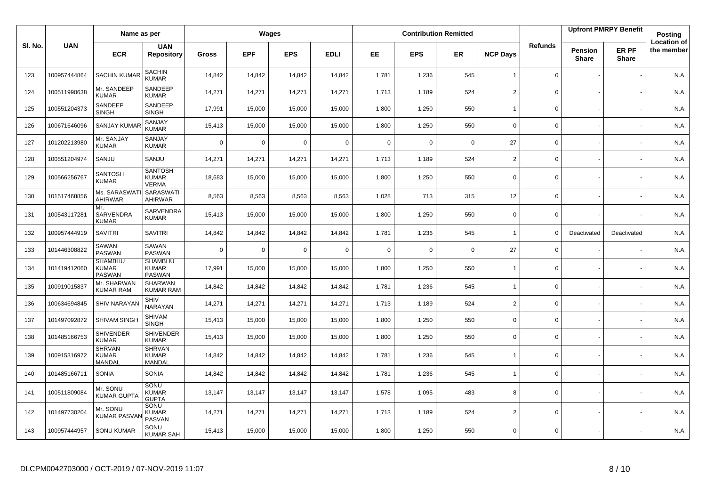|         |              | Name as per                              |                                                |             |             | Wages       |             |             |             | <b>Contribution Remitted</b> |                          |                |                         | <b>Upfront PMRPY Benefit</b> | <b>Posting</b>                   |
|---------|--------------|------------------------------------------|------------------------------------------------|-------------|-------------|-------------|-------------|-------------|-------------|------------------------------|--------------------------|----------------|-------------------------|------------------------------|----------------------------------|
| SI. No. | <b>UAN</b>   | <b>ECR</b>                               | <b>UAN</b><br><b>Repository</b>                | Gross       | <b>EPF</b>  | <b>EPS</b>  | <b>EDLI</b> | EE          | <b>EPS</b>  | <b>ER</b>                    | <b>NCP Days</b>          | <b>Refunds</b> | Pension<br><b>Share</b> | ER PF<br><b>Share</b>        | <b>Location of</b><br>the member |
| 123     | 100957444864 | <b>SACHIN KUMAR</b>                      | <b>SACHIN</b><br><b>KUMAR</b>                  | 14,842      | 14,842      | 14,842      | 14,842      | 1,781       | 1,236       | 545                          | $\overline{\phantom{a}}$ | 0              |                         |                              | N.A.                             |
| 124     | 100511990638 | Mr. SANDEEP<br><b>KUMAR</b>              | SANDEEP<br><b>KUMAR</b>                        | 14,271      | 14,271      | 14,271      | 14,271      | 1,713       | 1,189       | 524                          | $\overline{2}$           | 0              |                         |                              | N.A.                             |
| 125     | 100551204373 | SANDEEP<br><b>SINGH</b>                  | SANDEEP<br><b>SINGH</b>                        | 17,991      | 15,000      | 15,000      | 15,000      | 1,800       | 1,250       | 550                          | $\overline{1}$           | 0              |                         |                              | N.A.                             |
| 126     | 100671646096 | <b>SANJAY KUMA</b>                       | SANJAY<br><b>KUMAR</b>                         | 15,413      | 15,000      | 15,000      | 15,000      | 1,800       | 1,250       | 550                          | $\mathbf 0$              | $\mathbf 0$    |                         |                              | N.A.                             |
| 127     | 101202213980 | Mr. SANJAY<br><b>KUMAR</b>               | SANJAY<br><b>KUMAR</b>                         | $\mathbf 0$ | $\mathbf 0$ | $\mathbf 0$ | $\mathbf 0$ | $\mathbf 0$ | $\mathbf 0$ | $\mathbf 0$                  | 27                       | $\mathbf{0}$   |                         |                              | N.A.                             |
| 128     | 100551204974 | SANJU                                    | SANJU                                          | 14,271      | 14,271      | 14,271      | 14,271      | 1,713       | 1,189       | 524                          | $\overline{2}$           | $\mathbf{0}$   |                         |                              | N.A.                             |
| 129     | 100566256767 | <b>SANTOSH</b><br><b>KUMAR</b>           | <b>SANTOSH</b><br><b>KUMAR</b><br><b>VERMA</b> | 18,683      | 15,000      | 15,000      | 15,000      | 1,800       | 1,250       | 550                          | 0                        | 0              |                         |                              | N.A.                             |
| 130     | 101517468856 | Ms. SARASWA<br><b>AHIRWAR</b>            | SARASWATI<br><b>AHIRWAR</b>                    | 8,563       | 8,563       | 8,563       | 8,563       | 1,028       | 713         | 315                          | 12                       | 0              |                         |                              | N.A.                             |
| 131     | 100543117281 | Mr.<br>SARVENDRA<br><b>KUMAR</b>         | SARVENDRA<br><b>KUMAR</b>                      | 15,413      | 15,000      | 15,000      | 15,000      | 1,800       | 1,250       | 550                          | $\Omega$                 | 0              |                         |                              | N.A.                             |
| 132     | 100957444919 | <b>SAVITRI</b>                           | <b>SAVITRI</b>                                 | 14,842      | 14,842      | 14,842      | 14,842      | 1,781       | 1,236       | 545                          | $\overline{1}$           | $\Omega$       | Deactivated             | Deactivated                  | N.A.                             |
| 133     | 101446308822 | SAWAN<br><b>PASWAN</b>                   | SAWAN<br>PASWAN                                | $\mathbf 0$ | $\Omega$    | 0           | $\mathbf 0$ | $\Omega$    | $\Omega$    | $\mathbf 0$                  | 27                       | $\Omega$       |                         |                              | N.A.                             |
| 134     | 101419412060 | <b>SHAMBHU</b><br><b>KUMAR</b><br>PASWAN | <b>SHAMBHU</b><br><b>KUMAR</b><br>PASWAN       | 17,991      | 15,000      | 15,000      | 15,000      | 1,800       | 1,250       | 550                          | $\overline{1}$           | 0              |                         |                              | N.A.                             |
| 135     | 100919015837 | Mr. SHARWAN<br><b>KUMAR RAM</b>          | <b>SHARWAN</b><br><b>KUMAR RAM</b>             | 14,842      | 14,842      | 14,842      | 14,842      | 1,781       | 1,236       | 545                          | $\overline{1}$           | 0              |                         |                              | N.A.                             |
| 136     | 100634694845 | <b>SHIV NARAYAN</b>                      | <b>SHIV</b><br>NARAYAN                         | 14,271      | 14,271      | 14,271      | 14,271      | 1,713       | 1,189       | 524                          | $\overline{2}$           | 0              |                         |                              | N.A.                             |
| 137     | 101497092872 | SHIVAM SINGH                             | <b>SHIVAM</b><br><b>SINGH</b>                  | 15,413      | 15,000      | 15,000      | 15,000      | 1,800       | 1,250       | 550                          | $\mathbf 0$              | 0              |                         |                              | N.A.                             |
| 138     | 101485166753 | <b>SHIVENDER</b><br><b>KUMAR</b>         | <b>SHIVENDER</b><br><b>KUMAR</b>               | 15,413      | 15,000      | 15,000      | 15,000      | 1,800       | 1,250       | 550                          | $\mathbf 0$              | 0              |                         |                              | N.A.                             |
| 139     | 100915316972 | <b>SHRVAN</b><br><b>KUMAR</b><br>MANDAL  | <b>SHRVAN</b><br><b>KUMAR</b><br><b>MANDAL</b> | 14,842      | 14,842      | 14,842      | 14,842      | 1,781       | 1,236       | 545                          | $\overline{1}$           | 0              |                         |                              | N.A.                             |
| 140     | 101485166711 | SONIA                                    | SONIA                                          | 14,842      | 14,842      | 14,842      | 14,842      | 1,781       | 1,236       | 545                          | $\overline{1}$           | 0              |                         |                              | N.A.                             |
| 141     | 100511809084 | Mr. SONU<br><b>KUMAR GUPTA</b>           | <b>SONU</b><br><b>KUMAR</b><br><b>GUPTA</b>    | 13,147      | 13,147      | 13,147      | 13,147      | 1,578       | 1,095       | 483                          | 8                        | $\Omega$       |                         |                              | N.A.                             |
| 142     | 101497730204 | Mr. SONU<br><b>KUMAR PASVA</b>           | SONU<br><b>KUMAR</b><br>PASVAN                 | 14,271      | 14,271      | 14,271      | 14,271      | 1,713       | 1,189       | 524                          | $\overline{2}$           | $\mathbf 0$    |                         |                              | N.A.                             |
| 143     | 100957444957 | <b>SONU KUMAR</b>                        | SONU<br><b>KUMAR SAH</b>                       | 15,413      | 15,000      | 15,000      | 15,000      | 1,800       | 1,250       | 550                          | $\Omega$                 | 0              |                         |                              | N.A.                             |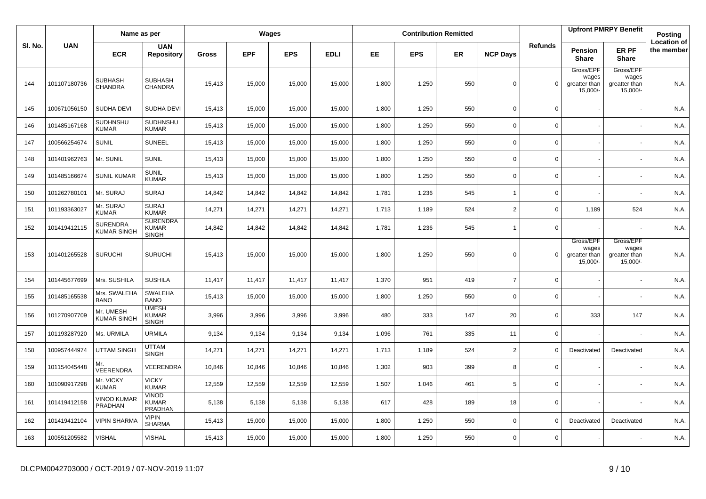|         |              | Name as per                           |                                                 |              | Wages      |            |             |       |            | <b>Contribution Remitted</b> |                 |                     |                                                 | <b>Upfront PMRPY Benefit</b>                    | Posting                          |
|---------|--------------|---------------------------------------|-------------------------------------------------|--------------|------------|------------|-------------|-------|------------|------------------------------|-----------------|---------------------|-------------------------------------------------|-------------------------------------------------|----------------------------------|
| SI. No. | <b>UAN</b>   | <b>ECR</b>                            | <b>UAN</b><br><b>Repository</b>                 | <b>Gross</b> | <b>EPF</b> | <b>EPS</b> | <b>EDLI</b> | EE    | <b>EPS</b> | ER                           | <b>NCP Days</b> | <b>Refunds</b>      | <b>Pension</b><br><b>Share</b>                  | ER PF<br><b>Share</b>                           | <b>Location of</b><br>the member |
| 144     | 101107180736 | <b>SUBHASH</b><br><b>CHANDRA</b>      | <b>SUBHASH</b><br><b>CHANDRA</b>                | 15,413       | 15,000     | 15,000     | 15,000      | 1,800 | 1,250      | 550                          | $\Omega$        | $\Omega$            | Gross/EPF<br>wages<br>greatter than<br>15,000/- | Gross/EPF<br>wages<br>greatter than<br>15,000/- | N.A.                             |
| 145     | 100671056150 | SUDHA DEVI                            | SUDHA DEVI                                      | 15,413       | 15,000     | 15,000     | 15,000      | 1,800 | 1,250      | 550                          | $\mathbf 0$     | $\mathbf 0$         |                                                 |                                                 | N.A.                             |
| 146     | 101485167168 | SUDHNSHU<br><b>KUMAR</b>              | SUDHNSHU<br><b>KUMAR</b>                        | 15,413       | 15,000     | 15,000     | 15,000      | 1,800 | 1,250      | 550                          | $\mathsf 0$     | $\mathbf 0$         |                                                 |                                                 | N.A.                             |
| 147     | 100566254674 | <b>SUNIL</b>                          | <b>SUNEEL</b>                                   | 15,413       | 15,000     | 15,000     | 15,000      | 1,800 | 1,250      | 550                          | $\mathbf 0$     | $\mathbf 0$         |                                                 |                                                 | N.A.                             |
| 148     | 101401962763 | Mr. SUNIL                             | <b>SUNIL</b>                                    | 15,413       | 15,000     | 15,000     | 15,000      | 1,800 | 1,250      | 550                          | $\mathbf 0$     | $\mathbf 0$         |                                                 |                                                 | N.A.                             |
| 149     | 101485166674 | <b>SUNIL KUMAR</b>                    | <b>SUNIL</b><br><b>KUMAR</b>                    | 15,413       | 15,000     | 15,000     | 15,000      | 1,800 | 1,250      | 550                          | $\mathsf 0$     | $\mathbf 0$         |                                                 |                                                 | N.A.                             |
| 150     | 101262780101 | Mr. SURAJ                             | <b>SURAJ</b>                                    | 14,842       | 14,842     | 14,842     | 14,842      | 1,781 | 1,236      | 545                          | $\mathbf{1}$    | $\mathbf 0$         |                                                 |                                                 | N.A.                             |
| 151     | 101193363027 | Mr. SURAJ<br><b>KUMAR</b>             | <b>SURAJ</b><br><b>KUMAR</b>                    | 14,271       | 14,271     | 14,271     | 14,271      | 1,713 | 1,189      | 524                          | $\overline{2}$  | $\mathsf 0$         | 1,189                                           | 524                                             | N.A.                             |
| 152     | 101419412115 | <b>SURENDRA</b><br><b>KUMAR SINGH</b> | <b>SURENDRA</b><br><b>KUMAR</b><br><b>SINGH</b> | 14,842       | 14,842     | 14,842     | 14,842      | 1,781 | 1,236      | 545                          | $\mathbf{1}$    | $\mathbf 0$         |                                                 |                                                 | N.A.                             |
| 153     | 101401265528 | <b>SURUCHI</b>                        | <b>SURUCHI</b>                                  | 15,413       | 15,000     | 15,000     | 15,000      | 1,800 | 1,250      | 550                          | $\mathbf 0$     | $\mathbf 0$         | Gross/EPF<br>wages<br>greatter than<br>15,000/- | Gross/EPF<br>wages<br>greatter than<br>15,000/- | N.A.                             |
| 154     | 101445677699 | Mrs. SUSHILA                          | <b>SUSHILA</b>                                  | 11,417       | 11,417     | 11,417     | 11,417      | 1,370 | 951        | 419                          | $\overline{7}$  | $\mathsf 0$         |                                                 |                                                 | N.A.                             |
| 155     | 101485165538 | Mrs. SWALEHA<br><b>BANO</b>           | SWALEHA<br><b>BANO</b>                          | 15,413       | 15,000     | 15,000     | 15,000      | 1,800 | 1,250      | 550                          | $\mathbf 0$     | $\mathbf 0$         |                                                 |                                                 | N.A.                             |
| 156     | 101270907709 | Mr. UMESH<br><b>KUMAR SINGH</b>       | <b>UMESH</b><br><b>KUMAR</b><br><b>SINGH</b>    | 3,996        | 3,996      | 3,996      | 3,996       | 480   | 333        | 147                          | 20              | $\mathsf 0$         | 333                                             | 147                                             | N.A.                             |
| 157     | 101193287920 | Ms. URMILA                            | <b>URMILA</b>                                   | 9,134        | 9,134      | 9,134      | 9,134       | 1,096 | 761        | 335                          | 11              | $\mathbf 0$         |                                                 |                                                 | N.A.                             |
| 158     | 100957444974 | <b>UTTAM SINGH</b>                    | <b>UTTAM</b><br><b>SINGH</b>                    | 14,271       | 14,271     | 14,271     | 14,271      | 1,713 | 1,189      | 524                          | $\overline{2}$  | $\mathbf 0$         | Deactivated                                     | Deactivated                                     | N.A.                             |
| 159     | 101154045448 | Mr.<br>VEERENDRA                      | VEERENDRA                                       | 10,846       | 10,846     | 10,846     | 10,846      | 1,302 | 903        | 399                          | 8               | $\mathbf 0$         |                                                 |                                                 | N.A.                             |
| 160     | 101090917298 | Mr. VICKY<br><b>KUMAR</b>             | <b>VICKY</b><br><b>KUMAR</b>                    | 12,559       | 12,559     | 12,559     | 12,559      | 1,507 | 1,046      | 461                          | $5\phantom{.0}$ | $\mathsf 0$         |                                                 |                                                 | N.A.                             |
| 161     | 101419412158 | <b>VINOD KUMAR</b><br>PRADHAN         | <b>VINOD</b><br><b>KUMAR</b><br>PRADHAN         | 5,138        | 5,138      | 5,138      | 5,138       | 617   | 428        | 189                          | 18              | $\mathsf{O}\xspace$ |                                                 |                                                 | N.A.                             |
| 162     | 101419412104 | <b>VIPIN SHARMA</b>                   | <b>VIPIN</b><br><b>SHARMA</b>                   | 15,413       | 15,000     | 15,000     | 15,000      | 1,800 | 1,250      | 550                          | $\mathbf 0$     | $\mathbf 0$         | Deactivated                                     | Deactivated                                     | N.A.                             |
| 163     | 100551205582 | <b>VISHAL</b>                         | <b>VISHAL</b>                                   | 15,413       | 15,000     | 15,000     | 15,000      | 1,800 | 1,250      | 550                          | $\mathbf 0$     | $\mathbf 0$         |                                                 |                                                 | N.A.                             |